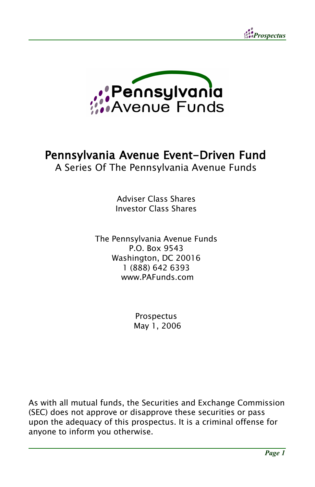



### Pennsylvania Avenue Event-Driven Fund A Series Of The Pennsylvania Avenue Funds

Adviser Class Shares Investor Class Shares

The Pennsylvania Avenue Funds P.O. Box 9543 Washington, DC 20016 1 (888) 642 6393 www.PAFunds.com

> **Prospectus** May 1, 2006

As with all mutual funds, the Securities and Exchange Commission (SEC) does not approve or disapprove these securities or pass upon the adequacy of this prospectus. It is a criminal offense for anyone to inform you otherwise.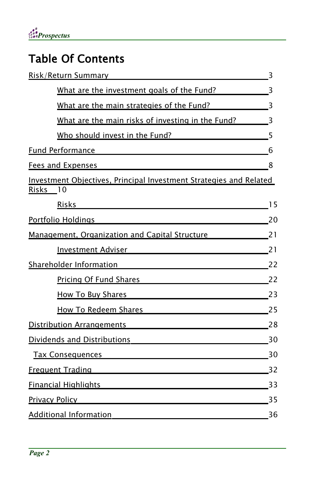# Table Of Contents

| Risk/Return Summary                                                                                                                                                                                                                  | 3              |
|--------------------------------------------------------------------------------------------------------------------------------------------------------------------------------------------------------------------------------------|----------------|
| What are the investment goals of the Fund? 3                                                                                                                                                                                         |                |
| What are the main strategies of the Fund?                                                                                                                                                                                            | $\overline{3}$ |
| What are the main risks of investing in the Fund?                                                                                                                                                                                    | 3              |
| Who should invest in the Fund?                                                                                                                                                                                                       | 5              |
| <u>Fund Performance</u> Participate and the series of the series of the series of the series of the series of the series of the series of the series of the series of the series of the series of the series of the series of the s  | 6              |
| Fees and Expenses and Expenses and Expenses and Expenses and Expenses and Expenses and Expenses and Expenses and                                                                                                                     | 8              |
| Investment Objectives, Principal Investment Strategies and Related<br>Risks 10<br>Risks                                                                                                                                              | 15             |
| Portfolio Holdings                                                                                                                                                                                                                   | 20             |
| <u>Management, Organization and Capital Structure</u>                                                                                                                                                                                | 21             |
| <b>Investment Adviser Adviser Adviser Adviser Adviser Adviser Adviser Adviser Adviser Adviser Adviser Adviser Adviser Adviser Adviser Adviser Adviser Adviser Adviser Adviser Adviser </b>                                           | 21             |
| Shareholder Information <b>Shareholder</b> Information                                                                                                                                                                               | 22             |
| <u>Pricing Of Fund Shares and Shares and Shares and Shares and Shares and Shares and Shares and Shares and Shares and Shares and Shares and Shares and Shares and Shares and Shares and Shares and Shares and Shares and Shares </u> | 22             |
| <b>How To Buy Shares</b>                                                                                                                                                                                                             | 23             |
| <b>How To Redeem Shares Mateurs Mateurs Mateurs Mateurs Mateurs</b>                                                                                                                                                                  | 25             |
| Distribution Arrangements 28                                                                                                                                                                                                         |                |
| Dividends and Distributions                                                                                                                                                                                                          | 30             |
| <u>Tax Consequences</u> and the contract of the contract of the contract of the contract of the contract of the contract of the contract of the contract of the contract of the contract of the contract of the contract of the con  | 30             |
| Frequent Trading <b>Exercise Service Service Service Service Service Service Service Service Service Service Service</b>                                                                                                             | 32             |
| <b>Financial Highlights</b>                                                                                                                                                                                                          | 33             |
| <u>Privacy Policy and the contract of the contract of the contract of the contract of the contract of the contract of the contract of the contract of the contract of the contract of the contract of the contract of the contra</u> | 35             |
| <b>Additional Information</b>                                                                                                                                                                                                        | 36             |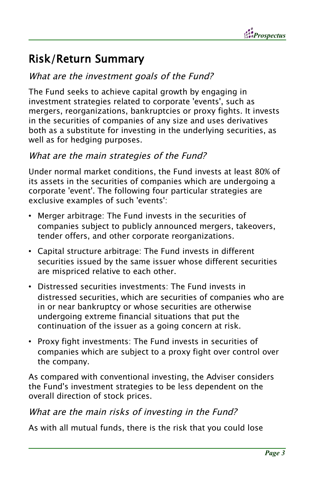

## Risk/Return Summary

### What are the investment goals of the Fund?

The Fund seeks to achieve capital growth by engaging in investment strategies related to corporate 'events', such as mergers, reorganizations, bankruptcies or proxy fights. It invests in the securities of companies of any size and uses derivatives both as a substitute for investing in the underlying securities, as well as for hedging purposes.

#### What are the main strategies of the Fund?

Under normal market conditions, the Fund invests at least 80% of its assets in the securities of companies which are undergoing a corporate 'event'. The following four particular strategies are exclusive examples of such 'events':

- Merger arbitrage: The Fund invests in the securities of companies subject to publicly announced mergers, takeovers, tender offers, and other corporate reorganizations.
- Capital structure arbitrage: The Fund invests in different securities issued by the same issuer whose different securities are mispriced relative to each other.
- Distressed securities investments: The Fund invests in distressed securities, which are securities of companies who are in or near bankruptcy or whose securities are otherwise undergoing extreme financial situations that put the continuation of the issuer as a going concern at risk.
- Proxy fight investments: The Fund invests in securities of companies which are subject to a proxy fight over control over the company.

As compared with conventional investing, the Adviser considers the Fund's investment strategies to be less dependent on the overall direction of stock prices.

#### What are the main risks of investing in the Fund?

As with all mutual funds, there is the risk that you could lose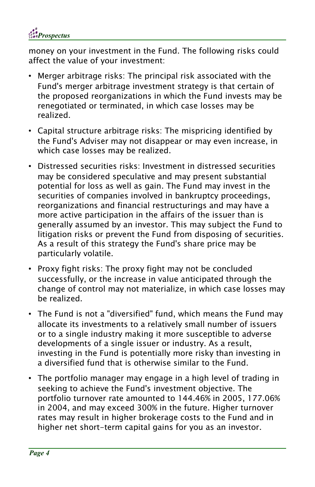

money on your investment in the Fund. The following risks could affect the value of your investment:

- Merger arbitrage risks: The principal risk associated with the Fund's merger arbitrage investment strategy is that certain of the proposed reorganizations in which the Fund invests may be renegotiated or terminated, in which case losses may be realized.
- Capital structure arbitrage risks: The mispricing identified by the Fund's Adviser may not disappear or may even increase, in which case losses may be realized.
- Distressed securities risks: Investment in distressed securities may be considered speculative and may present substantial potential for loss as well as gain. The Fund may invest in the securities of companies involved in bankruptcy proceedings, reorganizations and financial restructurings and may have a more active participation in the affairs of the issuer than is generally assumed by an investor. This may subject the Fund to litigation risks or prevent the Fund from disposing of securities. As a result of this strategy the Fund's share price may be particularly volatile.
- Proxy fight risks: The proxy fight may not be concluded successfully, or the increase in value anticipated through the change of control may not materialize, in which case losses may be realized.
- The Fund is not a "diversified" fund, which means the Fund may allocate its investments to a relatively small number of issuers or to a single industry making it more susceptible to adverse developments of a single issuer or industry. As a result, investing in the Fund is potentially more risky than investing in a diversified fund that is otherwise similar to the Fund.
- The portfolio manager may engage in a high level of trading in seeking to achieve the Fund's investment objective. The portfolio turnover rate amounted to 144.46% in 2005, 177.06% in 2004, and may exceed 300% in the future. Higher turnover rates may result in higher brokerage costs to the Fund and in higher net short-term capital gains for you as an investor.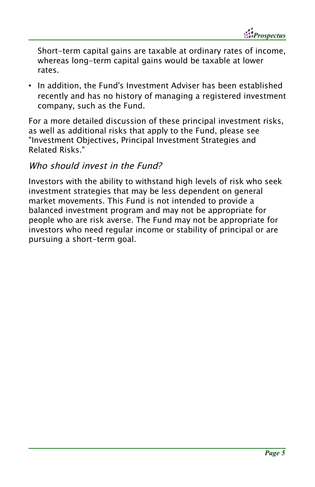*Prospectus*

Short-term capital gains are taxable at ordinary rates of income, whereas long-term capital gains would be taxable at lower rates.

• In addition, the Fund's Investment Adviser has been established recently and has no history of managing a registered investment company, such as the Fund.

For a more detailed discussion of these principal investment risks, as well as additional risks that apply to the Fund, please see "Investment Objectives, Principal Investment Strategies and Related Risks."

#### Who should invest in the Fund?

Investors with the ability to withstand high levels of risk who seek investment strategies that may be less dependent on general market movements. This Fund is not intended to provide a balanced investment program and may not be appropriate for people who are risk averse. The Fund may not be appropriate for investors who need regular income or stability of principal or are pursuing a short-term goal.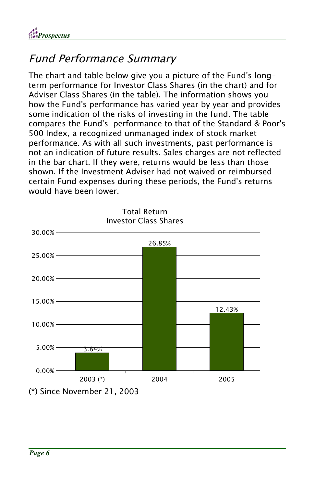

## Fund Performance Summary

The chart and table below give you a picture of the Fund's longterm performance for Investor Class Shares (in the chart) and for Adviser Class Shares (in the table). The information shows you how the Fund's performance has varied year by year and provides some indication of the risks of investing in the fund. The table compares the Fund's performance to that of the Standard & Poor's 500 Index, a recognized unmanaged index of stock market performance. As with all such investments, past performance is not an indication of future results. Sales charges are not reflected in the bar chart. If they were, returns would be less than those shown. If the Investment Adviser had not waived or reimbursed certain Fund expenses during these periods, the Fund's returns would have been lower.



Total Return Investor Class Shares

(\*) Since November 21, 2003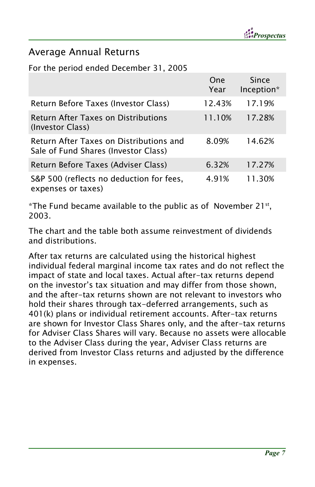### Average Annual Returns

#### For the period ended December 31, 2005

|                                                                                 | One<br>Year | Since<br>Inception* |
|---------------------------------------------------------------------------------|-------------|---------------------|
| Return Before Taxes (Investor Class)                                            | 12.43%      | 17.19%              |
| <b>Return After Taxes on Distributions</b><br>(Investor Class)                  | 11.10%      | 17.28%              |
| Return After Taxes on Distributions and<br>Sale of Fund Shares (Investor Class) | 8.09%       | 14.62%              |
| Return Before Taxes (Adviser Class)                                             | 6.32%       | 17.27%              |
| S&P 500 (reflects no deduction for fees,<br>expenses or taxes)                  | 4.91%       | 11.30%              |

 $^*$ The Fund became available to the public as of  $\,$  November 21 $^{\rm st}$ ,  $\,$ 2003.

The chart and the table both assume reinvestment of dividends and distributions.

After tax returns are calculated using the historical highest individual federal marginal income tax rates and do not reflect the impact of state and local taxes. Actual after-tax returns depend on the investor's tax situation and may differ from those shown, and the after-tax returns shown are not relevant to investors who hold their shares through tax-deferred arrangements, such as 401(k) plans or individual retirement accounts. After-tax returns are shown for Investor Class Shares only, and the after-tax returns for Adviser Class Shares will vary. Because no assets were allocable to the Adviser Class during the year, Adviser Class returns are derived from Investor Class returns and adjusted by the difference in expenses.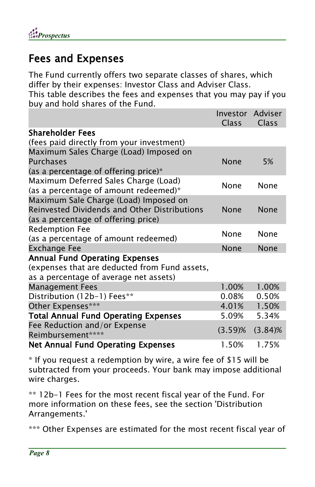## Fees and Expenses

The Fund currently offers two separate classes of shares, which differ by their expenses: Investor Class and Adviser Class. This table describes the fees and expenses that you may pay if you buy and hold shares of the Fund.

|                                               | Investor Adviser<br>Class | Class      |
|-----------------------------------------------|---------------------------|------------|
| Shareholder Fees                              |                           |            |
| (fees paid directly from your investment)     |                           |            |
| Maximum Sales Charge (Load) Imposed on        |                           |            |
| <b>Purchases</b>                              | None                      | 5%         |
| (as a percentage of offering price) $*$       |                           |            |
| Maximum Deferred Sales Charge (Load)          | None                      | None       |
| (as a percentage of amount redeemed)*         |                           |            |
| Maximum Sale Charge (Load) Imposed on         |                           |            |
| Reinvested Dividends and Other Distributions  | None                      | None       |
| (as a percentage of offering price)           |                           |            |
| <b>Redemption Fee</b>                         | None                      | None       |
| (as a percentage of amount redeemed)          |                           |            |
| <b>Exchange Fee</b>                           | None                      | None       |
| <b>Annual Fund Operating Expenses</b>         |                           |            |
| (expenses that are deducted from Fund assets, |                           |            |
| as a percentage of average net assets)        |                           |            |
| <b>Management Fees</b>                        | 1.00%                     | 1.00%      |
| Distribution (12b-1) Fees**                   | 0.08%                     | 0.50%      |
| Other Expenses***                             | 4.01%                     | 1.50%      |
| <b>Total Annual Fund Operating Expenses</b>   | 5.09%                     | 5.34%      |
| Fee Reduction and/or Expense                  | $(3.59)$ %                |            |
| Reimbursement*****                            |                           | $(3.84)$ % |
| <b>Net Annual Fund Operating Expenses</b>     | 1.50%                     | 1.75%      |

\* If you request a redemption by wire, a wire fee of \$15 will be subtracted from your proceeds. Your bank may impose additional wire charges.

\*\* 12b-1 Fees for the most recent fiscal year of the Fund. For more information on these fees, see the section 'Distribution Arrangements.'

\*\*\* Other Expenses are estimated for the most recent fiscal year of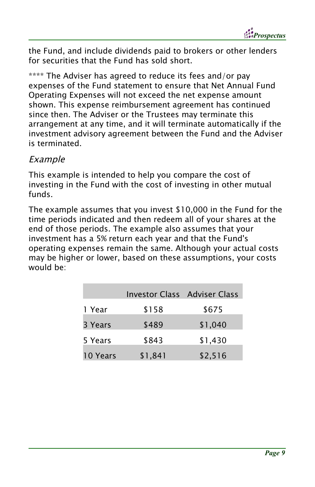*Prospectus*

the Fund, and include dividends paid to brokers or other lenders for securities that the Fund has sold short.

\*\*\*\* The Adviser has agreed to reduce its fees and/or pay expenses of the Fund statement to ensure that Net Annual Fund Operating Expenses will not exceed the net expense amount shown. This expense reimbursement agreement has continued since then. The Adviser or the Trustees may terminate this arrangement at any time, and it will terminate automatically if the investment advisory agreement between the Fund and the Adviser is terminated.

#### Example

This example is intended to help you compare the cost of investing in the Fund with the cost of investing in other mutual funds.

The example assumes that you invest \$10,000 in the Fund for the time periods indicated and then redeem all of your shares at the end of those periods. The example also assumes that your investment has a 5% return each year and that the Fund's operating expenses remain the same. Although your actual costs may be higher or lower, based on these assumptions, your costs would be:

|          | Investor Class Adviser Class |         |
|----------|------------------------------|---------|
| 1 Year   | \$158                        | \$675   |
| 3 Years  | \$489                        | \$1,040 |
| 5 Years  | \$843                        | \$1,430 |
| 10 Years | \$1,841                      | \$2,516 |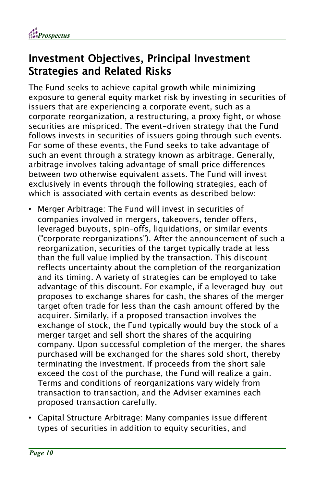

### Investment Objectives, Principal Investment Strategies and Related Risks

The Fund seeks to achieve capital growth while minimizing exposure to general equity market risk by investing in securities of issuers that are experiencing a corporate event, such as a corporate reorganization, a restructuring, a proxy fight, or whose securities are mispriced. The event-driven strategy that the Fund follows invests in securities of issuers going through such events. For some of these events, the Fund seeks to take advantage of such an event through a strategy known as arbitrage. Generally, arbitrage involves taking advantage of small price differences between two otherwise equivalent assets. The Fund will invest exclusively in events through the following strategies, each of which is associated with certain events as described below:

- Merger Arbitrage: The Fund will invest in securities of companies involved in mergers, takeovers, tender offers, leveraged buyouts, spin-offs, liquidations, or similar events ("corporate reorganizations"). After the announcement of such a reorganization, securities of the target typically trade at less than the full value implied by the transaction. This discount reflects uncertainty about the completion of the reorganization and its timing. A variety of strategies can be employed to take advantage of this discount. For example, if a leveraged buy-out proposes to exchange shares for cash, the shares of the merger target often trade for less than the cash amount offered by the acquirer. Similarly, if a proposed transaction involves the exchange of stock, the Fund typically would buy the stock of a merger target and sell short the shares of the acquiring company. Upon successful completion of the merger, the shares purchased will be exchanged for the shares sold short, thereby terminating the investment. If proceeds from the short sale exceed the cost of the purchase, the Fund will realize a gain. Terms and conditions of reorganizations vary widely from transaction to transaction, and the Adviser examines each proposed transaction carefully.
- Capital Structure Arbitrage: Many companies issue different types of securities in addition to equity securities, and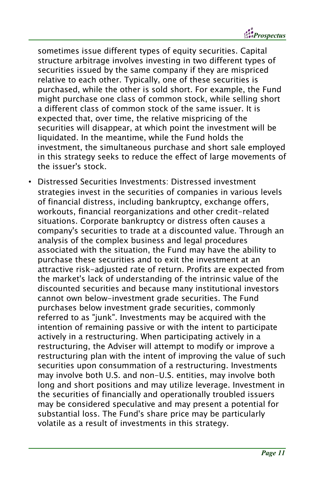*Prospectus*

sometimes issue different types of equity securities. Capital structure arbitrage involves investing in two different types of securities issued by the same company if they are mispriced relative to each other. Typically, one of these securities is purchased, while the other is sold short. For example, the Fund might purchase one class of common stock, while selling short a different class of common stock of the same issuer. It is expected that, over time, the relative mispricing of the securities will disappear, at which point the investment will be liquidated. In the meantime, while the Fund holds the investment, the simultaneous purchase and short sale employed in this strategy seeks to reduce the effect of large movements of the issuer's stock.

• Distressed Securities Investments: Distressed investment strategies invest in the securities of companies in various levels of financial distress, including bankruptcy, exchange offers, workouts, financial reorganizations and other credit-related situations. Corporate bankruptcy or distress often causes a company's securities to trade at a discounted value. Through an analysis of the complex business and legal procedures associated with the situation, the Fund may have the ability to purchase these securities and to exit the investment at an attractive risk-adjusted rate of return. Profits are expected from the market's lack of understanding of the intrinsic value of the discounted securities and because many institutional investors cannot own below-investment grade securities. The Fund purchases below investment grade securities, commonly referred to as "junk". Investments may be acquired with the intention of remaining passive or with the intent to participate actively in a restructuring. When participating actively in a restructuring, the Adviser will attempt to modify or improve a restructuring plan with the intent of improving the value of such securities upon consummation of a restructuring. Investments may involve both U.S. and non-U.S. entities, may involve both long and short positions and may utilize leverage. Investment in the securities of financially and operationally troubled issuers may be considered speculative and may present a potential for substantial loss. The Fund's share price may be particularly volatile as a result of investments in this strategy.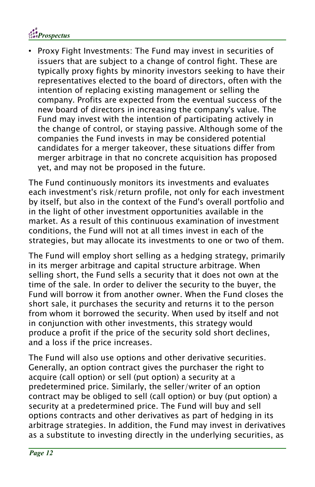

• Proxy Fight Investments: The Fund may invest in securities of issuers that are subject to a change of control fight. These are typically proxy fights by minority investors seeking to have their representatives elected to the board of directors, often with the intention of replacing existing management or selling the company. Profits are expected from the eventual success of the new board of directors in increasing the company's value. The Fund may invest with the intention of participating actively in the change of control, or staying passive. Although some of the companies the Fund invests in may be considered potential candidates for a merger takeover, these situations differ from merger arbitrage in that no concrete acquisition has proposed yet, and may not be proposed in the future.

The Fund continuously monitors its investments and evaluates each investment's risk/return profile, not only for each investment by itself, but also in the context of the Fund's overall portfolio and in the light of other investment opportunities available in the market. As a result of this continuous examination of investment conditions, the Fund will not at all times invest in each of the strategies, but may allocate its investments to one or two of them.

The Fund will employ short selling as a hedging strategy, primarily in its merger arbitrage and capital structure arbitrage. When selling short, the Fund sells a security that it does not own at the time of the sale. In order to deliver the security to the buyer, the Fund will borrow it from another owner. When the Fund closes the short sale, it purchases the security and returns it to the person from whom it borrowed the security. When used by itself and not in conjunction with other investments, this strategy would produce a profit if the price of the security sold short declines, and a loss if the price increases.

The Fund will also use options and other derivative securities. Generally, an option contract gives the purchaser the right to acquire (call option) or sell (put option) a security at a predetermined price. Similarly, the seller/writer of an option contract may be obliged to sell (call option) or buy (put option) a security at a predetermined price. The Fund will buy and sell options contracts and other derivatives as part of hedging in its arbitrage strategies. In addition, the Fund may invest in derivatives as a substitute to investing directly in the underlying securities, as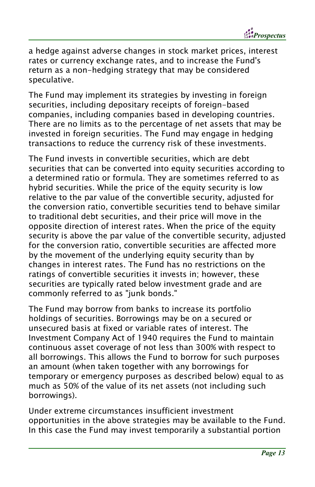a hedge against adverse changes in stock market prices, interest rates or currency exchange rates, and to increase the Fund's return as a non-hedging strategy that may be considered speculative.

The Fund may implement its strategies by investing in foreign securities, including depositary receipts of foreign-based companies, including companies based in developing countries. There are no limits as to the percentage of net assets that may be invested in foreign securities. The Fund may engage in hedging transactions to reduce the currency risk of these investments.

The Fund invests in convertible securities, which are debt securities that can be converted into equity securities according to a determined ratio or formula. They are sometimes referred to as hybrid securities. While the price of the equity security is low relative to the par value of the convertible security, adjusted for the conversion ratio, convertible securities tend to behave similar to traditional debt securities, and their price will move in the opposite direction of interest rates. When the price of the equity security is above the par value of the convertible security, adjusted for the conversion ratio, convertible securities are affected more by the movement of the underlying equity security than by changes in interest rates. The Fund has no restrictions on the ratings of convertible securities it invests in; however, these securities are typically rated below investment grade and are commonly referred to as "junk bonds."

The Fund may borrow from banks to increase its portfolio holdings of securities. Borrowings may be on a secured or unsecured basis at fixed or variable rates of interest. The Investment Company Act of 1940 requires the Fund to maintain continuous asset coverage of not less than 300% with respect to all borrowings. This allows the Fund to borrow for such purposes an amount (when taken together with any borrowings for temporary or emergency purposes as described below) equal to as much as 50% of the value of its net assets (not including such borrowings).

Under extreme circumstances insufficient investment opportunities in the above strategies may be available to the Fund. In this case the Fund may invest temporarily a substantial portion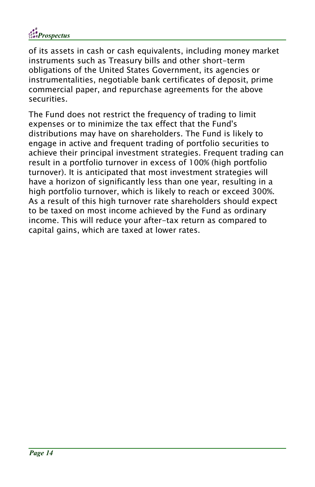

of its assets in cash or cash equivalents, including money market instruments such as Treasury bills and other short-term obligations of the United States Government, its agencies or instrumentalities, negotiable bank certificates of deposit, prime commercial paper, and repurchase agreements for the above securities.

The Fund does not restrict the frequency of trading to limit expenses or to minimize the tax effect that the Fund's distributions may have on shareholders. The Fund is likely to engage in active and frequent trading of portfolio securities to achieve their principal investment strategies. Frequent trading can result in a portfolio turnover in excess of 100% (high portfolio turnover). It is anticipated that most investment strategies will have a horizon of significantly less than one year, resulting in a high portfolio turnover, which is likely to reach or exceed 300%. As a result of this high turnover rate shareholders should expect to be taxed on most income achieved by the Fund as ordinary income. This will reduce your after-tax return as compared to capital gains, which are taxed at lower rates.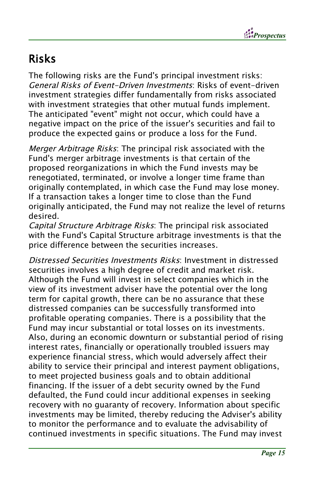

## Risks

The following risks are the Fund's principal investment risks: General Risks of Event-Driven Investments: Risks of event-driven investment strategies differ fundamentally from risks associated with investment strategies that other mutual funds implement. The anticipated "event" might not occur, which could have a negative impact on the price of the issuer's securities and fail to produce the expected gains or produce a loss for the Fund.

Merger Arbitrage Risks: The principal risk associated with the Fund's merger arbitrage investments is that certain of the proposed reorganizations in which the Fund invests may be renegotiated, terminated, or involve a longer time frame than originally contemplated, in which case the Fund may lose money. If a transaction takes a longer time to close than the Fund originally anticipated, the Fund may not realize the level of returns desired.

Capital Structure Arbitrage Risks: The principal risk associated with the Fund's Capital Structure arbitrage investments is that the price difference between the securities increases.

Distressed Securities Investments Risks: Investment in distressed securities involves a high degree of credit and market risk. Although the Fund will invest in select companies which in the view of its investment adviser have the potential over the long term for capital growth, there can be no assurance that these distressed companies can be successfully transformed into profitable operating companies. There is a possibility that the Fund may incur substantial or total losses on its investments. Also, during an economic downturn or substantial period of rising interest rates, financially or operationally troubled issuers may experience financial stress, which would adversely affect their ability to service their principal and interest payment obligations, to meet projected business goals and to obtain additional financing. If the issuer of a debt security owned by the Fund defaulted, the Fund could incur additional expenses in seeking recovery with no guaranty of recovery. Information about specific investments may be limited, thereby reducing the Adviser's ability to monitor the performance and to evaluate the advisability of continued investments in specific situations. The Fund may invest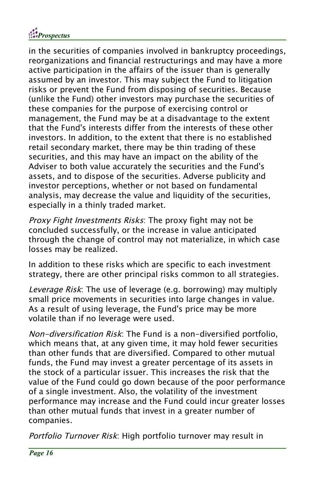

in the securities of companies involved in bankruptcy proceedings, reorganizations and financial restructurings and may have a more active participation in the affairs of the issuer than is generally assumed by an investor. This may subject the Fund to litigation risks or prevent the Fund from disposing of securities. Because (unlike the Fund) other investors may purchase the securities of these companies for the purpose of exercising control or management, the Fund may be at a disadvantage to the extent that the Fund's interests differ from the interests of these other investors. In addition, to the extent that there is no established retail secondary market, there may be thin trading of these securities, and this may have an impact on the ability of the Adviser to both value accurately the securities and the Fund's assets, and to dispose of the securities. Adverse publicity and investor perceptions, whether or not based on fundamental analysis, may decrease the value and liquidity of the securities, especially in a thinly traded market.

Proxy Fight Investments Risks: The proxy fight may not be concluded successfully, or the increase in value anticipated through the change of control may not materialize, in which case losses may be realized.

In addition to these risks which are specific to each investment strategy, there are other principal risks common to all strategies.

Leverage Risk: The use of leverage (e.g. borrowing) may multiply small price movements in securities into large changes in value. As a result of using leverage, the Fund's price may be more volatile than if no leverage were used.

Non-diversification Risk: The Fund is a non-diversified portfolio, which means that, at any given time, it may hold fewer securities than other funds that are diversified. Compared to other mutual funds, the Fund may invest a greater percentage of its assets in the stock of a particular issuer. This increases the risk that the value of the Fund could go down because of the poor performance of a single investment. Also, the volatility of the investment performance may increase and the Fund could incur greater losses than other mutual funds that invest in a greater number of companies.

Portfolio Turnover Risk: High portfolio turnover may result in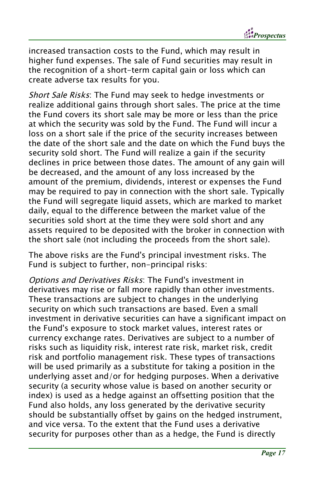

increased transaction costs to the Fund, which may result in higher fund expenses. The sale of Fund securities may result in the recognition of a short-term capital gain or loss which can create adverse tax results for you.

Short Sale Risks: The Fund may seek to hedge investments or realize additional gains through short sales. The price at the time the Fund covers its short sale may be more or less than the price at which the security was sold by the Fund. The Fund will incur a loss on a short sale if the price of the security increases between the date of the short sale and the date on which the Fund buys the security sold short. The Fund will realize a gain if the security declines in price between those dates. The amount of any gain will be decreased, and the amount of any loss increased by the amount of the premium, dividends, interest or expenses the Fund may be required to pay in connection with the short sale. Typically the Fund will segregate liquid assets, which are marked to market daily, equal to the difference between the market value of the securities sold short at the time they were sold short and any assets required to be deposited with the broker in connection with the short sale (not including the proceeds from the short sale).

The above risks are the Fund's principal investment risks. The Fund is subject to further, non-principal risks:

Options and Derivatives Risks: The Fund's investment in derivatives may rise or fall more rapidly than other investments. These transactions are subject to changes in the underlying security on which such transactions are based. Even a small investment in derivative securities can have a significant impact on the Fund's exposure to stock market values, interest rates or currency exchange rates. Derivatives are subject to a number of risks such as liquidity risk, interest rate risk, market risk, credit risk and portfolio management risk. These types of transactions will be used primarily as a substitute for taking a position in the underlying asset and/or for hedging purposes. When a derivative security (a security whose value is based on another security or index) is used as a hedge against an offsetting position that the Fund also holds, any loss generated by the derivative security should be substantially offset by gains on the hedged instrument, and vice versa. To the extent that the Fund uses a derivative security for purposes other than as a hedge, the Fund is directly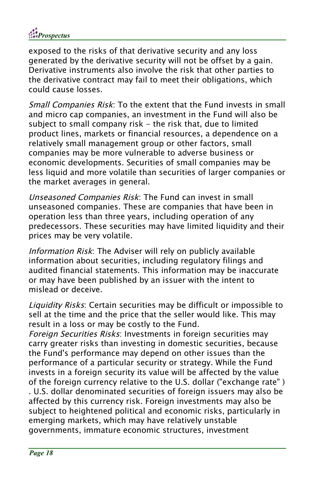

exposed to the risks of that derivative security and any loss generated by the derivative security will not be offset by a gain. Derivative instruments also involve the risk that other parties to the derivative contract may fail to meet their obligations, which could cause losses.

Small Companies Risk: To the extent that the Fund invests in small and micro cap companies, an investment in the Fund will also be subject to small company risk - the risk that, due to limited product lines, markets or financial resources, a dependence on a relatively small management group or other factors, small companies may be more vulnerable to adverse business or economic developments. Securities of small companies may be less liquid and more volatile than securities of larger companies or the market averages in general.

Unseasoned Companies Risk: The Fund can invest in small unseasoned companies. These are companies that have been in operation less than three years, including operation of any predecessors. These securities may have limited liquidity and their prices may be very volatile.

Information Risk: The Adviser will rely on publicly available information about securities, including regulatory filings and audited financial statements. This information may be inaccurate or may have been published by an issuer with the intent to mislead or deceive.

Liquidity Risks: Certain securities may be difficult or impossible to sell at the time and the price that the seller would like. This may result in a loss or may be costly to the Fund.

Foreign Securities Risks: Investments in foreign securities may carry greater risks than investing in domestic securities, because the Fund's performance may depend on other issues than the performance of a particular security or strategy. While the Fund invests in a foreign security its value will be affected by the value of the foreign currency relative to the U.S. dollar ("exchange rate" ) . U.S. dollar denominated securities of foreign issuers may also be affected by this currency risk. Foreign investments may also be subject to heightened political and economic risks, particularly in emerging markets, which may have relatively unstable governments, immature economic structures, investment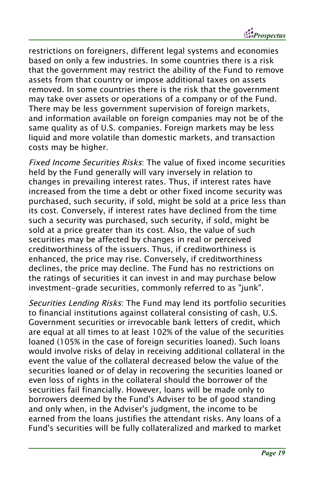*Prospectus*

restrictions on foreigners, different legal systems and economies based on only a few industries. In some countries there is a risk that the government may restrict the ability of the Fund to remove assets from that country or impose additional taxes on assets removed. In some countries there is the risk that the government may take over assets or operations of a company or of the Fund. There may be less government supervision of foreign markets, and information available on foreign companies may not be of the same quality as of U.S. companies. Foreign markets may be less liquid and more volatile than domestic markets, and transaction costs may be higher.

Fixed Income Securities Risks: The value of fixed income securities held by the Fund generally will vary inversely in relation to changes in prevailing interest rates. Thus, if interest rates have increased from the time a debt or other fixed income security was purchased, such security, if sold, might be sold at a price less than its cost. Conversely, if interest rates have declined from the time such a security was purchased, such security, if sold, might be sold at a price greater than its cost. Also, the value of such securities may be affected by changes in real or perceived creditworthiness of the issuers. Thus, if creditworthiness is enhanced, the price may rise. Conversely, if creditworthiness declines, the price may decline. The Fund has no restrictions on the ratings of securities it can invest in and may purchase below investment-grade securities, commonly referred to as "junk".

Securities Lending Risks: The Fund may lend its portfolio securities to financial institutions against collateral consisting of cash, U.S. Government securities or irrevocable bank letters of credit, which are equal at all times to at least 102% of the value of the securities loaned (105% in the case of foreign securities loaned). Such loans would involve risks of delay in receiving additional collateral in the event the value of the collateral decreased below the value of the securities loaned or of delay in recovering the securities loaned or even loss of rights in the collateral should the borrower of the securities fail financially. However, loans will be made only to borrowers deemed by the Fund's Adviser to be of good standing and only when, in the Adviser's judgment, the income to be earned from the loans justifies the attendant risks. Any loans of a Fund's securities will be fully collateralized and marked to market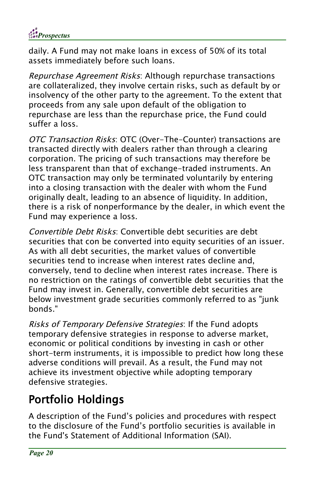

daily. A Fund may not make loans in excess of 50% of its total assets immediately before such loans.

Repurchase Agreement Risks: Although repurchase transactions are collateralized, they involve certain risks, such as default by or insolvency of the other party to the agreement. To the extent that proceeds from any sale upon default of the obligation to repurchase are less than the repurchase price, the Fund could suffer a loss.

OTC Transaction Risks: OTC (Over-The-Counter) transactions are transacted directly with dealers rather than through a clearing corporation. The pricing of such transactions may therefore be less transparent than that of exchange-traded instruments. An OTC transaction may only be terminated voluntarily by entering into a closing transaction with the dealer with whom the Fund originally dealt, leading to an absence of liquidity. In addition, there is a risk of nonperformance by the dealer, in which event the Fund may experience a loss.

Convertible Debt Risks: Convertible debt securities are debt securities that con be converted into equity securities of an issuer. As with all debt securities, the market values of convertible securities tend to increase when interest rates decline and, conversely, tend to decline when interest rates increase. There is no restriction on the ratings of convertible debt securities that the Fund may invest in. Generally, convertible debt securities are below investment grade securities commonly referred to as "junk bonds."

Risks of Temporary Defensive Strategies: If the Fund adopts temporary defensive strategies in response to adverse market, economic or political conditions by investing in cash or other short-term instruments, it is impossible to predict how long these adverse conditions will prevail. As a result, the Fund may not achieve its investment objective while adopting temporary defensive strategies.

## Portfolio Holdings

A description of the Fund's policies and procedures with respect to the disclosure of the Fund's portfolio securities is available in the Fund's Statement of Additional Information (SAI).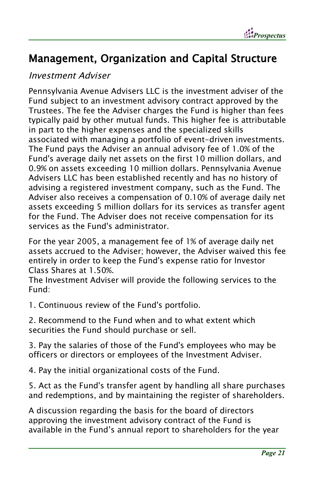

### Management, Organization and Capital Structure

#### Investment Adviser

Pennsylvania Avenue Advisers LLC is the investment adviser of the Fund subject to an investment advisory contract approved by the Trustees. The fee the Adviser charges the Fund is higher than fees typically paid by other mutual funds. This higher fee is attributable in part to the higher expenses and the specialized skills associated with managing a portfolio of event-driven investments. The Fund pays the Adviser an annual advisory fee of 1.0% of the Fund's average daily net assets on the first 10 million dollars, and 0.9% on assets exceeding 10 million dollars. Pennsylvania Avenue Advisers LLC has been established recently and has no history of advising a registered investment company, such as the Fund. The Adviser also receives a compensation of 0.10% of average daily net assets exceeding 5 million dollars for its services as transfer agent for the Fund. The Adviser does not receive compensation for its services as the Fund's administrator.

For the year 2005, a management fee of 1% of average daily net assets accrued to the Adviser; however, the Adviser waived this fee entirely in order to keep the Fund's expense ratio for Investor Class Shares at 1.50%.

The Investment Adviser will provide the following services to the Fund:

1. Continuous review of the Fund's portfolio.

2. Recommend to the Fund when and to what extent which securities the Fund should purchase or sell.

3. Pay the salaries of those of the Fund's employees who may be officers or directors or employees of the Investment Adviser.

4. Pay the initial organizational costs of the Fund.

5. Act as the Fund's transfer agent by handling all share purchases and redemptions, and by maintaining the register of shareholders.

A discussion regarding the basis for the board of directors approving the investment advisory contract of the Fund is available in the Fund's annual report to shareholders for the year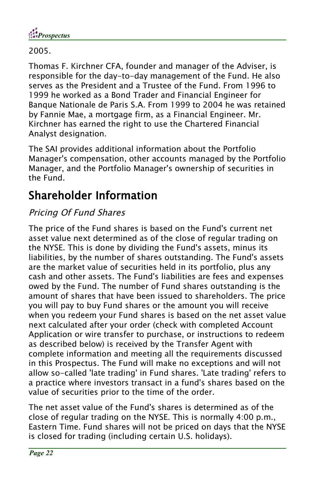

2005.

Thomas F. Kirchner CFA, founder and manager of the Adviser, is responsible for the day-to-day management of the Fund. He also serves as the President and a Trustee of the Fund. From 1996 to 1999 he worked as a Bond Trader and Financial Engineer for Banque Nationale de Paris S.A. From 1999 to 2004 he was retained by Fannie Mae, a mortgage firm, as a Financial Engineer. Mr. Kirchner has earned the right to use the Chartered Financial Analyst designation.

The SAI provides additional information about the Portfolio Manager's compensation, other accounts managed by the Portfolio Manager, and the Portfolio Manager's ownership of securities in the Fund.

## Shareholder Information

### Pricing Of Fund Shares

The price of the Fund shares is based on the Fund's current net asset value next determined as of the close of regular trading on the NYSE. This is done by dividing the Fund's assets, minus its liabilities, by the number of shares outstanding. The Fund's assets are the market value of securities held in its portfolio, plus any cash and other assets. The Fund's liabilities are fees and expenses owed by the Fund. The number of Fund shares outstanding is the amount of shares that have been issued to shareholders. The price you will pay to buy Fund shares or the amount you will receive when you redeem your Fund shares is based on the net asset value next calculated after your order (check with completed Account Application or wire transfer to purchase, or instructions to redeem as described below) is received by the Transfer Agent with complete information and meeting all the requirements discussed in this Prospectus. The Fund will make no exceptions and will not allow so-called 'late trading' in Fund shares. 'Late trading' refers to a practice where investors transact in a fund's shares based on the value of securities prior to the time of the order.

The net asset value of the Fund's shares is determined as of the close of regular trading on the NYSE. This is normally 4:00 p.m., Eastern Time. Fund shares will not be priced on days that the NYSE is closed for trading (including certain U.S. holidays).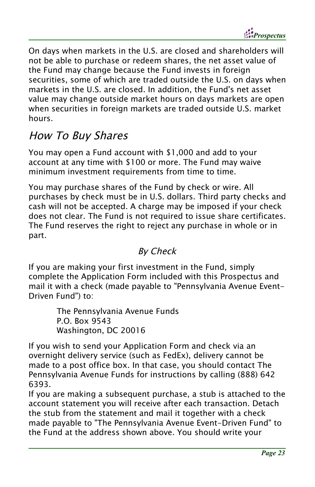*Prospectus*

On days when markets in the U.S. are closed and shareholders will not be able to purchase or redeem shares, the net asset value of the Fund may change because the Fund invests in foreign securities, some of which are traded outside the U.S. on days when markets in the U.S. are closed. In addition, the Fund's net asset value may change outside market hours on days markets are open when securities in foreign markets are traded outside U.S. market hours.

### How To Buy Shares

You may open a Fund account with \$1,000 and add to your account at any time with \$100 or more. The Fund may waive minimum investment requirements from time to time.

You may purchase shares of the Fund by check or wire. All purchases by check must be in U.S. dollars. Third party checks and cash will not be accepted. A charge may be imposed if your check does not clear. The Fund is not required to issue share certificates. The Fund reserves the right to reject any purchase in whole or in part.

#### By Check

If you are making your first investment in the Fund, simply complete the Application Form included with this Prospectus and mail it with a check (made payable to "Pennsylvania Avenue Event-Driven Fund") to:

> The Pennsylvania Avenue Funds P.O. Box 9543 Washington, DC 20016

If you wish to send your Application Form and check via an overnight delivery service (such as FedEx), delivery cannot be made to a post office box. In that case, you should contact The Pennsylvania Avenue Funds for instructions by calling (888) 642 6393.

If you are making a subsequent purchase, a stub is attached to the account statement you will receive after each transaction. Detach the stub from the statement and mail it together with a check made payable to "The Pennsylvania Avenue Event-Driven Fund" to the Fund at the address shown above. You should write your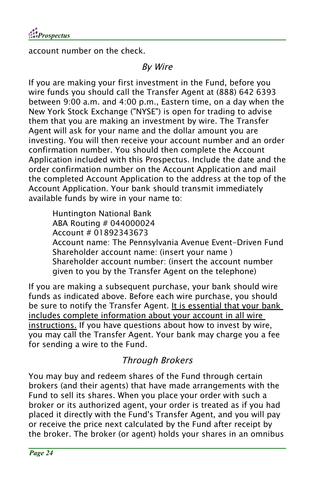

account number on the check.

### By Wire

If you are making your first investment in the Fund, before you wire funds you should call the Transfer Agent at (888) 642 6393 between 9:00 a.m. and 4:00 p.m., Eastern time, on a day when the New York Stock Exchange ("NYSE") is open for trading to advise them that you are making an investment by wire. The Transfer Agent will ask for your name and the dollar amount you are investing. You will then receive your account number and an order confirmation number. You should then complete the Account Application included with this Prospectus. Include the date and the order confirmation number on the Account Application and mail the completed Account Application to the address at the top of the Account Application. Your bank should transmit immediately available funds by wire in your name to:

Huntington National Bank ABA Routing # 044000024 Account # 01892343673 Account name: The Pennsylvania Avenue Event-Driven Fund Shareholder account name: (insert your name ) Shareholder account number: (insert the account number given to you by the Transfer Agent on the telephone)

If you are making a subsequent purchase, your bank should wire funds as indicated above. Before each wire purchase, you should be sure to notify the Transfer Agent. It is essential that your bank includes complete information about your account in all wire instructions. If you have questions about how to invest by wire, you may call the Transfer Agent. Your bank may charge you a fee for sending a wire to the Fund.

### Through Brokers

You may buy and redeem shares of the Fund through certain brokers (and their agents) that have made arrangements with the Fund to sell its shares. When you place your order with such a broker or its authorized agent, your order is treated as if you had placed it directly with the Fund's Transfer Agent, and you will pay or receive the price next calculated by the Fund after receipt by the broker. The broker (or agent) holds your shares in an omnibus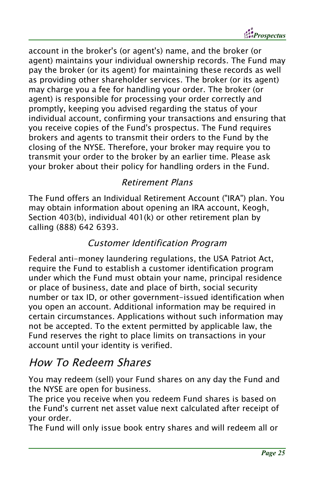*Prospectus*

account in the broker's (or agent's) name, and the broker (or agent) maintains your individual ownership records. The Fund may pay the broker (or its agent) for maintaining these records as well as providing other shareholder services. The broker (or its agent) may charge you a fee for handling your order. The broker (or agent) is responsible for processing your order correctly and promptly, keeping you advised regarding the status of your individual account, confirming your transactions and ensuring that you receive copies of the Fund's prospectus. The Fund requires brokers and agents to transmit their orders to the Fund by the closing of the NYSE. Therefore, your broker may require you to transmit your order to the broker by an earlier time. Please ask your broker about their policy for handling orders in the Fund.

### Retirement Plans

The Fund offers an Individual Retirement Account ("IRA") plan. You may obtain information about opening an IRA account, Keogh, Section 403(b), individual 401(k) or other retirement plan by calling (888) 642 6393.

#### Customer Identification Program

Federal anti-money laundering regulations, the USA Patriot Act, require the Fund to establish a customer identification program under which the Fund must obtain your name, principal residence or place of business, date and place of birth, social security number or tax ID, or other government-issued identification when you open an account. Additional information may be required in certain circumstances. Applications without such information may not be accepted. To the extent permitted by applicable law, the Fund reserves the right to place limits on transactions in your account until your identity is verified.

### How To Redeem Shares

You may redeem (sell) your Fund shares on any day the Fund and the NYSE are open for business.

The price you receive when you redeem Fund shares is based on the Fund's current net asset value next calculated after receipt of your order.

The Fund will only issue book entry shares and will redeem all or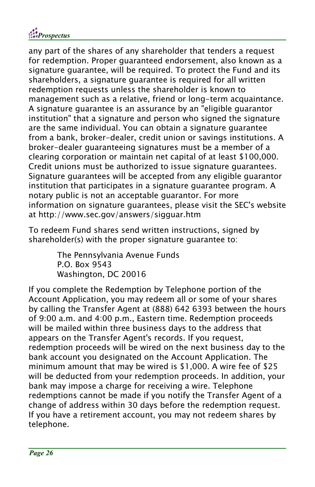

any part of the shares of any shareholder that tenders a request for redemption. Proper guaranteed endorsement, also known as a signature guarantee, will be required. To protect the Fund and its shareholders, a signature guarantee is required for all written redemption requests unless the shareholder is known to management such as a relative, friend or long-term acquaintance. A signature guarantee is an assurance by an "eligible guarantor institution" that a signature and person who signed the signature are the same individual. You can obtain a signature guarantee from a bank, broker-dealer, credit union or savings institutions. A broker-dealer guaranteeing signatures must be a member of a clearing corporation or maintain net capital of at least \$100,000. Credit unions must be authorized to issue signature guarantees. Signature guarantees will be accepted from any eligible guarantor institution that participates in a signature guarantee program. A notary public is not an acceptable guarantor. For more information on signature guarantees, please visit the SEC's website at http://www.sec.gov/answers/sigguar.htm

To redeem Fund shares send written instructions, signed by shareholder(s) with the proper signature guarantee to:

> The Pennsylvania Avenue Funds P.O. Box 9543 Washington, DC 20016

If you complete the Redemption by Telephone portion of the Account Application, you may redeem all or some of your shares by calling the Transfer Agent at (888) 642 6393 between the hours of 9:00 a.m. and 4:00 p.m., Eastern time. Redemption proceeds will be mailed within three business days to the address that appears on the Transfer Agent's records. If you request, redemption proceeds will be wired on the next business day to the bank account you designated on the Account Application. The minimum amount that may be wired is \$1,000. A wire fee of \$25 will be deducted from your redemption proceeds. In addition, your bank may impose a charge for receiving a wire. Telephone redemptions cannot be made if you notify the Transfer Agent of a change of address within 30 days before the redemption request. If you have a retirement account, you may not redeem shares by telephone.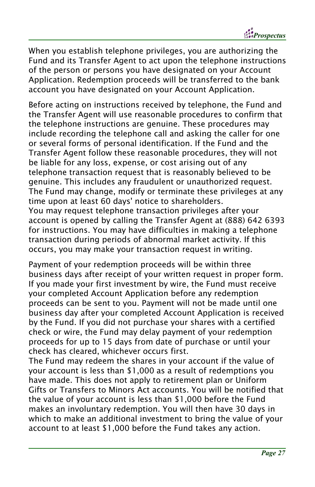*Prospectus*

When you establish telephone privileges, you are authorizing the Fund and its Transfer Agent to act upon the telephone instructions of the person or persons you have designated on your Account Application. Redemption proceeds will be transferred to the bank account you have designated on your Account Application.

Before acting on instructions received by telephone, the Fund and the Transfer Agent will use reasonable procedures to confirm that the telephone instructions are genuine. These procedures may include recording the telephone call and asking the caller for one or several forms of personal identification. If the Fund and the Transfer Agent follow these reasonable procedures, they will not be liable for any loss, expense, or cost arising out of any telephone transaction request that is reasonably believed to be genuine. This includes any fraudulent or unauthorized request. The Fund may change, modify or terminate these privileges at any time upon at least 60 days' notice to shareholders. You may request telephone transaction privileges after your account is opened by calling the Transfer Agent at (888) 642 6393 for instructions. You may have difficulties in making a telephone transaction during periods of abnormal market activity. If this occurs, you may make your transaction request in writing.

Payment of your redemption proceeds will be within three business days after receipt of your written request in proper form. If you made your first investment by wire, the Fund must receive your completed Account Application before any redemption proceeds can be sent to you. Payment will not be made until one business day after your completed Account Application is received by the Fund. If you did not purchase your shares with a certified check or wire, the Fund may delay payment of your redemption proceeds for up to 15 days from date of purchase or until your check has cleared, whichever occurs first.

The Fund may redeem the shares in your account if the value of your account is less than \$1,000 as a result of redemptions you have made. This does not apply to retirement plan or Uniform Gifts or Transfers to Minors Act accounts. You will be notified that the value of your account is less than \$1,000 before the Fund makes an involuntary redemption. You will then have 30 days in which to make an additional investment to bring the value of your account to at least \$1,000 before the Fund takes any action.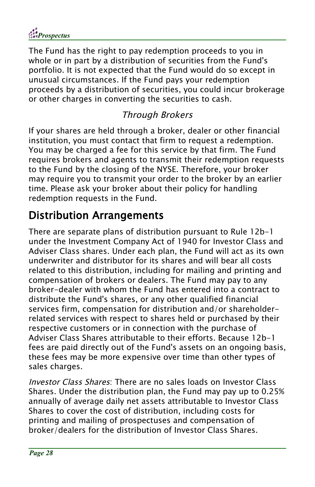

The Fund has the right to pay redemption proceeds to you in whole or in part by a distribution of securities from the Fund's portfolio. It is not expected that the Fund would do so except in unusual circumstances. If the Fund pays your redemption proceeds by a distribution of securities, you could incur brokerage or other charges in converting the securities to cash.

### Through Brokers

If your shares are held through a broker, dealer or other financial institution, you must contact that firm to request a redemption. You may be charged a fee for this service by that firm. The Fund requires brokers and agents to transmit their redemption requests to the Fund by the closing of the NYSE. Therefore, your broker may require you to transmit your order to the broker by an earlier time. Please ask your broker about their policy for handling redemption requests in the Fund.

### Distribution Arrangements

There are separate plans of distribution pursuant to Rule 12b-1 under the Investment Company Act of 1940 for Investor Class and Adviser Class shares. Under each plan, the Fund will act as its own underwriter and distributor for its shares and will bear all costs related to this distribution, including for mailing and printing and compensation of brokers or dealers. The Fund may pay to any broker-dealer with whom the Fund has entered into a contract to distribute the Fund's shares, or any other qualified financial services firm, compensation for distribution and/or shareholderrelated services with respect to shares held or purchased by their respective customers or in connection with the purchase of Adviser Class Shares attributable to their efforts. Because 12b-1 fees are paid directly out of the Fund's assets on an ongoing basis, these fees may be more expensive over time than other types of sales charges.

Investor Class Shares: There are no sales loads on Investor Class Shares. Under the distribution plan, the Fund may pay up to 0.25% annually of average daily net assets attributable to Investor Class Shares to cover the cost of distribution, including costs for printing and mailing of prospectuses and compensation of broker/dealers for the distribution of Investor Class Shares.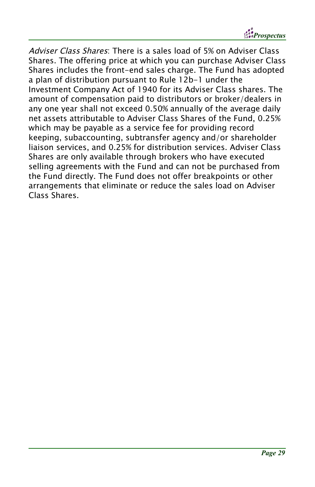*Prospectus*

Adviser Class Shares: There is a sales load of 5% on Adviser Class Shares. The offering price at which you can purchase Adviser Class Shares includes the front-end sales charge. The Fund has adopted a plan of distribution pursuant to Rule 12b-1 under the Investment Company Act of 1940 for its Adviser Class shares. The amount of compensation paid to distributors or broker/dealers in any one year shall not exceed 0.50% annually of the average daily net assets attributable to Adviser Class Shares of the Fund, 0.25% which may be payable as a service fee for providing record keeping, subaccounting, subtransfer agency and/or shareholder liaison services, and 0.25% for distribution services. Adviser Class Shares are only available through brokers who have executed selling agreements with the Fund and can not be purchased from the Fund directly. The Fund does not offer breakpoints or other arrangements that eliminate or reduce the sales load on Adviser Class Shares.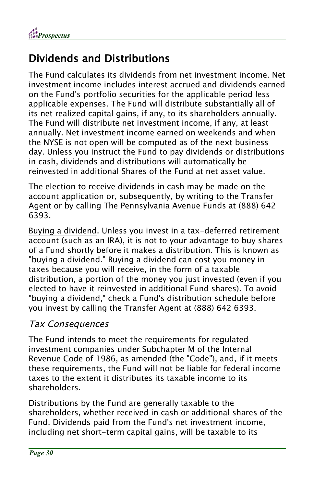

## Dividends and Distributions

The Fund calculates its dividends from net investment income. Net investment income includes interest accrued and dividends earned on the Fund's portfolio securities for the applicable period less applicable expenses. The Fund will distribute substantially all of its net realized capital gains, if any, to its shareholders annually. The Fund will distribute net investment income, if any, at least annually. Net investment income earned on weekends and when the NYSE is not open will be computed as of the next business day. Unless you instruct the Fund to pay dividends or distributions in cash, dividends and distributions will automatically be reinvested in additional Shares of the Fund at net asset value.

The election to receive dividends in cash may be made on the account application or, subsequently, by writing to the Transfer Agent or by calling The Pennsylvania Avenue Funds at (888) 642 6393.

Buying a dividend. Unless you invest in a tax-deferred retirement account (such as an IRA), it is not to your advantage to buy shares of a Fund shortly before it makes a distribution. This is known as "buying a dividend." Buying a dividend can cost you money in taxes because you will receive, in the form of a taxable distribution, a portion of the money you just invested (even if you elected to have it reinvested in additional Fund shares). To avoid "buying a dividend," check a Fund's distribution schedule before you invest by calling the Transfer Agent at (888) 642 6393.

#### Tax Consequences

The Fund intends to meet the requirements for regulated investment companies under Subchapter M of the Internal Revenue Code of 1986, as amended (the "Code"), and, if it meets these requirements, the Fund will not be liable for federal income taxes to the extent it distributes its taxable income to its shareholders.

Distributions by the Fund are generally taxable to the shareholders, whether received in cash or additional shares of the Fund. Dividends paid from the Fund's net investment income, including net short-term capital gains, will be taxable to its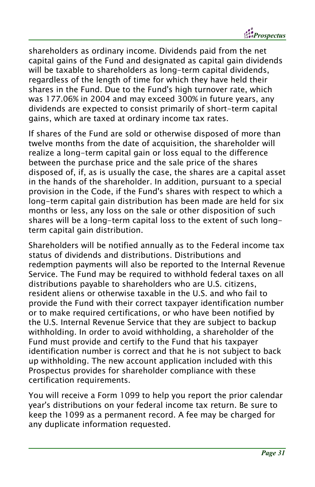*Prospectus*

shareholders as ordinary income. Dividends paid from the net capital gains of the Fund and designated as capital gain dividends will be taxable to shareholders as long-term capital dividends, regardless of the length of time for which they have held their shares in the Fund. Due to the Fund's high turnover rate, which was 177.06% in 2004 and may exceed 300% in future years, any dividends are expected to consist primarily of short-term capital gains, which are taxed at ordinary income tax rates.

If shares of the Fund are sold or otherwise disposed of more than twelve months from the date of acquisition, the shareholder will realize a long-term capital gain or loss equal to the difference between the purchase price and the sale price of the shares disposed of, if, as is usually the case, the shares are a capital asset in the hands of the shareholder. In addition, pursuant to a special provision in the Code, if the Fund's shares with respect to which a long-term capital gain distribution has been made are held for six months or less, any loss on the sale or other disposition of such shares will be a long-term capital loss to the extent of such longterm capital gain distribution.

Shareholders will be notified annually as to the Federal income tax status of dividends and distributions. Distributions and redemption payments will also be reported to the Internal Revenue Service. The Fund may be required to withhold federal taxes on all distributions payable to shareholders who are U.S. citizens, resident aliens or otherwise taxable in the U.S. and who fail to provide the Fund with their correct taxpayer identification number or to make required certifications, or who have been notified by the U.S. Internal Revenue Service that they are subject to backup withholding. In order to avoid withholding, a shareholder of the Fund must provide and certify to the Fund that his taxpayer identification number is correct and that he is not subject to back up withholding. The new account application included with this Prospectus provides for shareholder compliance with these certification requirements.

You will receive a Form 1099 to help you report the prior calendar year's distributions on your federal income tax return. Be sure to keep the 1099 as a permanent record. A fee may be charged for any duplicate information requested.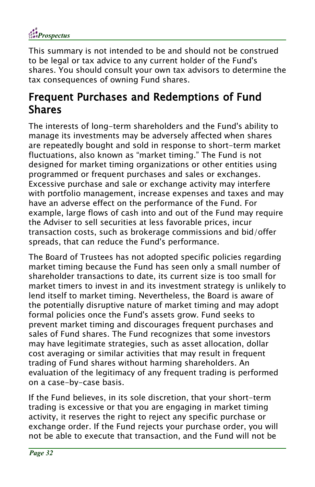

This summary is not intended to be and should not be construed to be legal or tax advice to any current holder of the Fund's shares. You should consult your own tax advisors to determine the tax consequences of owning Fund shares.

### Frequent Purchases and Redemptions of Fund Shares

The interests of long-term shareholders and the Fund's ability to manage its investments may be adversely affected when shares are repeatedly bought and sold in response to short-term market fluctuations, also known as "market timing." The Fund is not designed for market timing organizations or other entities using programmed or frequent purchases and sales or exchanges. Excessive purchase and sale or exchange activity may interfere with portfolio management, increase expenses and taxes and may have an adverse effect on the performance of the Fund. For example, large flows of cash into and out of the Fund may require the Adviser to sell securities at less favorable prices, incur transaction costs, such as brokerage commissions and bid/offer spreads, that can reduce the Fund's performance.

The Board of Trustees has not adopted specific policies regarding market timing because the Fund has seen only a small number of shareholder transactions to date, its current size is too small for market timers to invest in and its investment strategy is unlikely to lend itself to market timing. Nevertheless, the Board is aware of the potentially disruptive nature of market timing and may adopt formal policies once the Fund's assets grow. Fund seeks to prevent market timing and discourages frequent purchases and sales of Fund shares. The Fund recognizes that some investors may have legitimate strategies, such as asset allocation, dollar cost averaging or similar activities that may result in frequent trading of Fund shares without harming shareholders. An evaluation of the legitimacy of any frequent trading is performed on a case-by-case basis.

If the Fund believes, in its sole discretion, that your short-term trading is excessive or that you are engaging in market timing activity, it reserves the right to reject any specific purchase or exchange order. If the Fund rejects your purchase order, you will not be able to execute that transaction, and the Fund will not be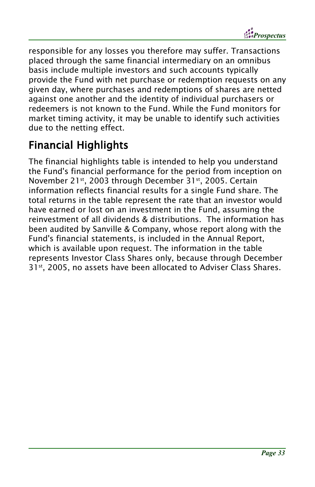

responsible for any losses you therefore may suffer. Transactions placed through the same financial intermediary on an omnibus basis include multiple investors and such accounts typically provide the Fund with net purchase or redemption requests on any given day, where purchases and redemptions of shares are netted against one another and the identity of individual purchasers or redeemers is not known to the Fund. While the Fund monitors for market timing activity, it may be unable to identify such activities due to the netting effect.

## Financial Highlights

The financial highlights table is intended to help you understand the Fund's financial performance for the period from inception on November 21 st , 2003 through December 31 st , 2005. Certain information reflects financial results for a single Fund share. The total returns in the table represent the rate that an investor would have earned or lost on an investment in the Fund, assuming the reinvestment of all dividends & distributions. The information has been audited by Sanville & Company, whose report along with the Fund's financial statements, is included in the Annual Report, which is available upon request. The information in the table represents Investor Class Shares only, because through December 31 st , 2005, no assets have been allocated to Adviser Class Shares.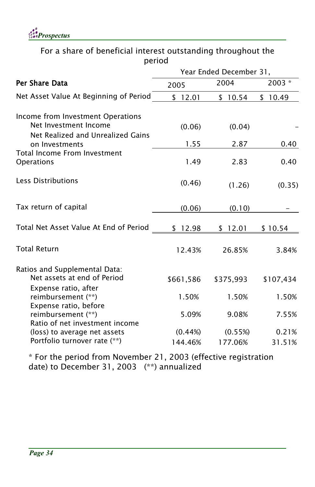

For a share of beneficial interest outstanding throughout the period

|                                                                                                 | Year Ended December 31, |           |           |  |
|-------------------------------------------------------------------------------------------------|-------------------------|-----------|-----------|--|
| Per Share Data                                                                                  | 2005                    | 2004      | 2003 *    |  |
| Net Asset Value At Beginning of Period                                                          | \$12.01                 | \$10.54   | \$10.49   |  |
| Income from Investment Operations<br>Net Investment Income<br>Net Realized and Unrealized Gains | (0.06)                  | (0.04)    |           |  |
| on Investments                                                                                  | 1.55                    | 2.87      | 0.40      |  |
| Total Income From Investment<br>Operations                                                      | 1.49                    | 2.83      | 0.40      |  |
| Less Distributions                                                                              | (0.46)                  | (1.26)    | (0.35)    |  |
| Tax return of capital                                                                           | (0.06)                  | (0.10)    |           |  |
| Total Net Asset Value At End of Period                                                          | \$12.98                 | \$12.01   | \$10.54   |  |
| <b>Total Return</b>                                                                             | 12.43%                  | 26.85%    | 3.84%     |  |
| Ratios and Supplemental Data:<br>Net assets at end of Period<br>Expense ratio, after            | \$661,586               | \$375,993 | \$107,434 |  |
| reimbursement (**)                                                                              | 1.50%                   | 1.50%     | 1.50%     |  |
| Expense ratio, before<br>reimbursement (**)<br>Ratio of net investment income                   | 5.09%                   | 9.08%     | 7.55%     |  |
| (loss) to average net assets                                                                    | (0.44%)                 | (0.55%)   | 0.21%     |  |
| Portfolio turnover rate (**)                                                                    | 144.46%                 | 177.06%   | 31.51%    |  |

\* For the period from November 21, 2003 (effective registration date) to December 31, 2003 (\*\*) annualized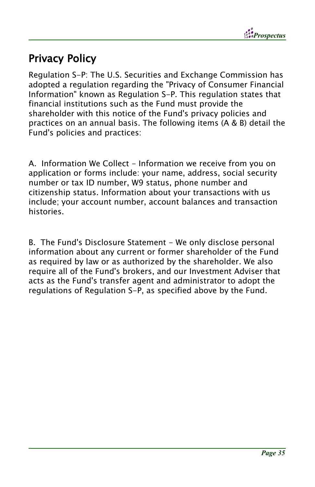

## Privacy Policy

Regulation S-P: The U.S. Securities and Exchange Commission has adopted a regulation regarding the "Privacy of Consumer Financial Information" known as Regulation S-P. This regulation states that financial institutions such as the Fund must provide the shareholder with this notice of the Fund's privacy policies and practices on an annual basis. The following items (A & B) detail the Fund's policies and practices:

A. Information We Collect - Information we receive from you on application or forms include: your name, address, social security number or tax ID number, W9 status, phone number and citizenship status. Information about your transactions with us include; your account number, account balances and transaction histories.

B. The Fund's Disclosure Statement - We only disclose personal information about any current or former shareholder of the Fund as required by law or as authorized by the shareholder. We also require all of the Fund's brokers, and our Investment Adviser that acts as the Fund's transfer agent and administrator to adopt the regulations of Regulation S-P, as specified above by the Fund.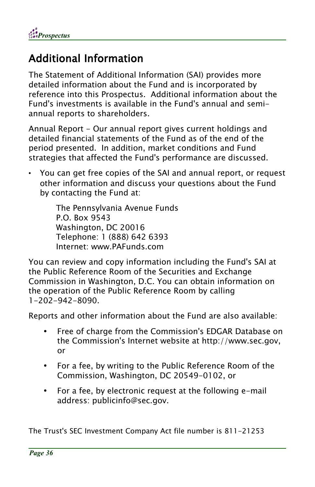*Prospectus*

### Additional Information

The Statement of Additional Information (SAI) provides more detailed information about the Fund and is incorporated by reference into this Prospectus. Additional information about the Fund's investments is available in the Fund's annual and semiannual reports to shareholders.

Annual Report - Our annual report gives current holdings and detailed financial statements of the Fund as of the end of the period presented. In addition, market conditions and Fund strategies that affected the Fund's performance are discussed.

• You can get free copies of the SAI and annual report, or request other information and discuss your questions about the Fund by contacting the Fund at:

> The Pennsylvania Avenue Funds P.O. Box 9543 Washington, DC 20016 Telephone: 1 (888) 642 6393 Internet: www.PAFunds.com

You can review and copy information including the Fund's SAI at the Public Reference Room of the Securities and Exchange Commission in Washington, D.C. You can obtain information on the operation of the Public Reference Room by calling 1-202-942-8090.

Reports and other information about the Fund are also available:

- Free of charge from the Commission's EDGAR Database on the Commission's Internet website at http://www.sec.gov, or
- For a fee, by writing to the Public Reference Room of the Commission, Washington, DC 20549-0102, or
- For a fee, by electronic request at the following e-mail address: publicinfo@sec.gov.

The Trust's SEC Investment Company Act file number is 811-21253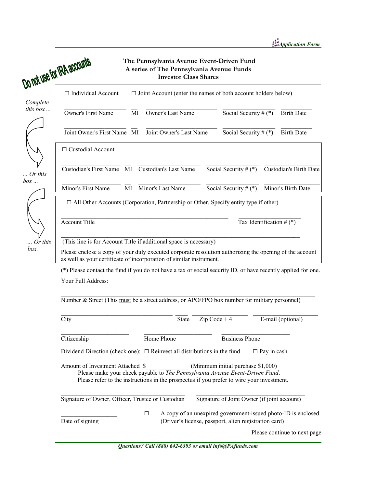|                   | Do not use for IRA accounts                                                                                                                                                                                                                         |        | <b>Investor Class Shares</b> | The Pennsylvania Avenue Event-Driven Fund<br>A series of The Pennsylvania Avenue Funds                                  |                            |                               |
|-------------------|-----------------------------------------------------------------------------------------------------------------------------------------------------------------------------------------------------------------------------------------------------|--------|------------------------------|-------------------------------------------------------------------------------------------------------------------------|----------------------------|-------------------------------|
| Complete          | $\Box$ Individual Account                                                                                                                                                                                                                           |        |                              | $\Box$ Joint Account (enter the names of both account holders below)                                                    |                            |                               |
| this box $\ldots$ | <b>Owner's First Name</b>                                                                                                                                                                                                                           | MI     | Owner's Last Name            |                                                                                                                         | Social Security # $(*)$    | <b>Birth Date</b>             |
|                   | Joint Owner's First Name MI                                                                                                                                                                                                                         |        | Joint Owner's Last Name      |                                                                                                                         | Social Security # $(*)$    | <b>Birth Date</b>             |
|                   | $\Box$ Custodial Account                                                                                                                                                                                                                            |        |                              |                                                                                                                         |                            |                               |
| . Or this<br>box  | Custodian's First Name MI                                                                                                                                                                                                                           |        | <b>Custodian's Last Name</b> | Social Security # $(*)$                                                                                                 |                            | <b>Custodian's Birth Date</b> |
|                   | Minor's First Name                                                                                                                                                                                                                                  | MI     | Minor's Last Name            | Social Security $# (*)$                                                                                                 |                            | Minor's Birth Date            |
|                   | $\Box$ All Other Accounts (Corporation, Partnership or Other. Specify entity type if other)                                                                                                                                                         |        |                              |                                                                                                                         |                            |                               |
|                   | <b>Account Title</b>                                                                                                                                                                                                                                |        |                              |                                                                                                                         | Tax Identification # $(*)$ |                               |
| $\ldots$ Or this  | (This line is for Account Title if additional space is necessary)                                                                                                                                                                                   |        |                              |                                                                                                                         |                            |                               |
| box.              | Please enclose a copy of your duly executed corporate resolution authorizing the opening of the account<br>as well as your certificate of incorporation of similar instrument.                                                                      |        |                              |                                                                                                                         |                            |                               |
|                   | (*) Please contact the fund if you do not have a tax or social security ID, or have recently applied for one.                                                                                                                                       |        |                              |                                                                                                                         |                            |                               |
|                   | Your Full Address:                                                                                                                                                                                                                                  |        |                              |                                                                                                                         |                            |                               |
|                   | Number & Street (This must be a street address, or APO/FPO box number for military personnel)                                                                                                                                                       |        |                              |                                                                                                                         |                            |                               |
|                   | City                                                                                                                                                                                                                                                |        | <b>State</b>                 | $Zip Code + 4$                                                                                                          |                            | E-mail (optional)             |
|                   | Citizenship                                                                                                                                                                                                                                         |        | Home Phone                   | <b>Business Phone</b>                                                                                                   |                            |                               |
|                   | Dividend Direction (check one): $\Box$ Reinvest all distributions in the fund                                                                                                                                                                       |        |                              |                                                                                                                         | $\Box$ Pay in cash         |                               |
|                   | Amount of Investment Attached \$<br>(Minimum initial purchase \$1,000)<br>Please make your check payable to The Pennsylvania Avenue Event-Driven Fund.<br>Please refer to the instructions in the prospectus if you prefer to wire your investment. |        |                              |                                                                                                                         |                            |                               |
|                   | Signature of Owner, Officer, Trustee or Custodian                                                                                                                                                                                                   |        |                              | Signature of Joint Owner (if joint account)                                                                             |                            |                               |
|                   | Date of signing                                                                                                                                                                                                                                     | $\Box$ |                              | A copy of an unexpired government-issued photo-ID is enclosed.<br>(Driver's license, passport, alien registration card) |                            |                               |
|                   |                                                                                                                                                                                                                                                     |        |                              |                                                                                                                         |                            | Please continue to next page  |